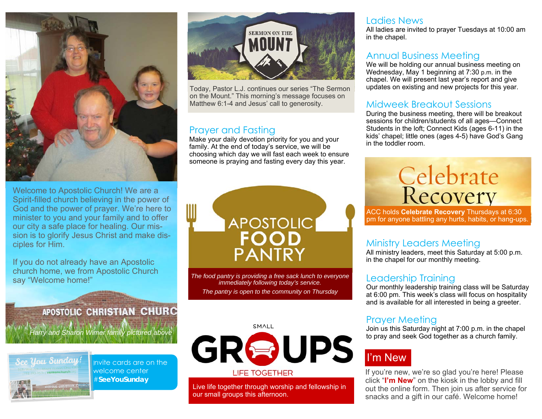

Welcome to Apostolic Church! We are a Spirit-filled church believing in the power of God and the power of prayer. We're here to minister to you and your family and to offer our city a safe place for healing. Our mission is to glorify Jesus Christ and make disciples for Him.

If you do not already have an Apostolic church home, we from Apostolic Church say "Welcome home!"

### **APOSTOLIC CHRISTIAN CHURC**

*Harry and Sharon Wimer family pictured above*



Invite cards are on the welcome center #**SeeYouSunday** 



Today, Pastor L.J. continues our series "The Sermon on the Mount." This morning's message focuses on Matthew 6:1-4 and Jesus' call to generosity.

#### Prayer and Fasting

Make your daily devotion priority for you and your family. At the end of today's service, we will be choosing which day we will fast each week to ensure someone is praying and fasting every day this year.



*The food pantry is providing a free sack lunch to everyone immediately following today's service. The pantry is open to the community on Thursday* 

#### SMALL



Live life together through worship and fellowship in our small groups this afternoon.

#### Ladies News

All ladies are invited to prayer Tuesdays at 10:00 am in the chapel.

#### Annual Business Meeting

We will be holding our annual business meeting on Wednesday, May 1 beginning at 7:30 p.m. in the chapel. We will present last year's report and give updates on existing and new projects for this year.

#### Midweek Breakout Sessions

During the business meeting, there will be breakout sessions for children/students of all ages—Connect Students in the loft; Connect Kids (ages 6-11) in the kids' chapel; little ones (ages 4-5) have God's Gang in the toddler room.

# Celebrate<br>Recovery

ACC holds **Celebrate Recovery** Thursdays at 6:30 pm for anyone battling any hurts, habits, or hang-ups.

#### Ministry Leaders Meeting

All ministry leaders, meet this Saturday at 5:00 p.m. in the chapel for our monthly meeting.

#### Leadership Training

Our monthly leadership training class will be Saturday at 6:00 pm. This week's class will focus on hospitality and is available for all interested in being a greeter.

#### Prayer Meeting

Join us this Saturday night at 7:00 p.m. in the chapel to pray and seek God together as a church family.

## I'm New

If you're new, we're so glad you're here! Please click "**I'm New**" on the kiosk in the lobby and fill out the online form. Then join us after service for snacks and a gift in our café. Welcome home!